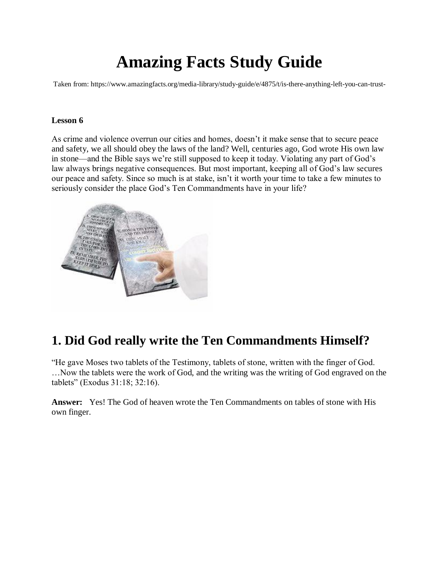# **Amazing Facts Study Guide**

Taken from: https://www.amazingfacts.org/media-library/study-guide/e/4875/t/is-there-anything-left-you-can-trust-

#### **Lesson 6**

As crime and violence overrun our cities and homes, doesn't it make sense that to secure peace and safety, we all should obey the laws of the land? Well, centuries ago, God wrote His own law in stone—and the Bible says we're still supposed to keep it today. Violating any part of God's law always brings negative consequences. But most important, keeping all of God's law secures our peace and safety. Since so much is at stake, isn't it worth your time to take a few minutes to seriously consider the place God's Ten Commandments have in your life?



# **1. Did God really write the Ten Commandments Himself?**

"He gave Moses two tablets of the Testimony, tablets of stone, written with the finger of God. …Now the tablets were the work of God, and the writing was the writing of God engraved on the tablets" (Exodus 31:18; 32:16).

**Answer:** Yes! The God of heaven wrote the Ten Commandments on tables of stone with His own finger.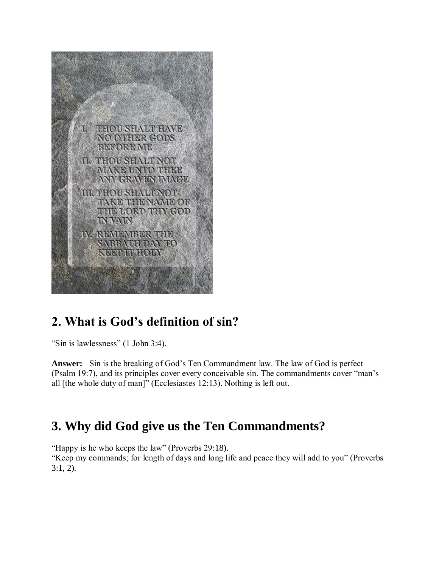

# **2. What is God's definition of sin?**

"Sin is lawlessness" (1 John 3:4).

**Answer:** Sin is the breaking of God's Ten Commandment law. The law of God is perfect (Psalm 19:7), and its principles cover every conceivable sin. The commandments cover "man's all [the whole duty of man]" (Ecclesiastes 12:13). Nothing is left out.

# **3. Why did God give us the Ten Commandments?**

"Happy is he who keeps the law" (Proverbs 29:18).

"Keep my commands; for length of days and long life and peace they will add to you" (Proverbs 3:1, 2).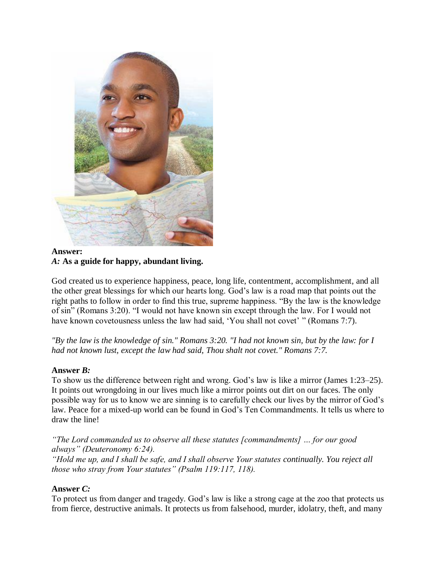

#### **Answer:** *A:* **As a guide for happy, abundant living.**

God created us to experience happiness, peace, long life, contentment, accomplishment, and all the other great blessings for which our hearts long. God's law is a road map that points out the right paths to follow in order to find this true, supreme happiness. "By the law is the knowledge of sin" (Romans 3:20). "I would not have known sin except through the law. For I would not have known covetousness unless the law had said, 'You shall not covet' " (Romans 7:7).

*"By the law is the knowledge of sin." Romans 3:20. "I had not known sin, but by the law: for I had not known lust, except the law had said, Thou shalt not covet." Romans 7:7.*

### **Answer** *B:*

To show us the difference between right and wrong. God's law is like a mirror (James 1:23–25). It points out wrongdoing in our lives much like a mirror points out dirt on our faces. The only possible way for us to know we are sinning is to carefully check our lives by the mirror of God's law. Peace for a mixed-up world can be found in God's Ten Commandments. It tells us where to draw the line!

*"The Lord commanded us to observe all these statutes [commandments] … for our good always" (Deuteronomy 6:24). "Hold me up, and I shall be safe, and I shall observe Your statutes continually. You reject all those who stray from Your statutes" (Psalm 119:117, 118).*

#### **Answer** *C:*

To protect us from danger and tragedy. God's law is like a strong cage at the zoo that protects us from fierce, destructive animals. It protects us from falsehood, murder, idolatry, theft, and many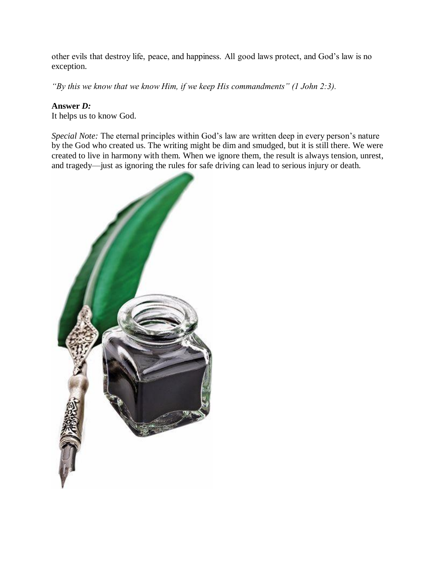other evils that destroy life, peace, and happiness. All good laws protect, and God's law is no exception.

*"By this we know that we know Him, if we keep His commandments" (1 John 2:3).*

### **Answer** *D:*

It helps us to know God.

*Special Note:* The eternal principles within God's law are written deep in every person's nature by the God who created us. The writing might be dim and smudged, but it is still there. We were created to live in harmony with them. When we ignore them, the result is always tension, unrest, and tragedy—just as ignoring the rules for safe driving can lead to serious injury or death.

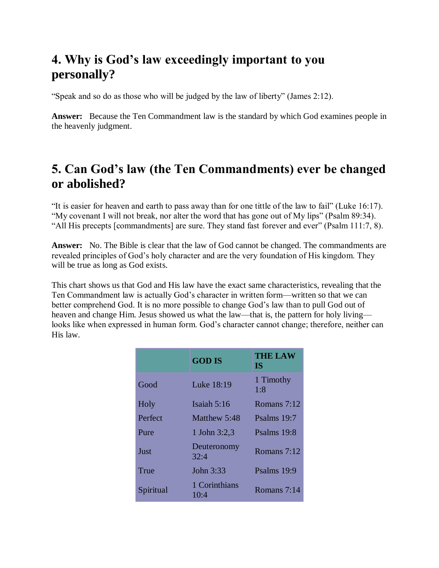# **4. Why is God's law exceedingly important to you personally?**

"Speak and so do as those who will be judged by the law of liberty" (James 2:12).

**Answer:** Because the Ten Commandment law is the standard by which God examines people in the heavenly judgment.

# **5. Can God's law (the Ten Commandments) ever be changed or abolished?**

"It is easier for heaven and earth to pass away than for one tittle of the law to fail" (Luke 16:17). "My covenant I will not break, nor alter the word that has gone out of My lips" (Psalm 89:34). "All His precepts [commandments] are sure. They stand fast forever and ever" (Psalm 111:7, 8).

**Answer:** No. The Bible is clear that the law of God cannot be changed. The commandments are revealed principles of God's holy character and are the very foundation of His kingdom. They will be true as long as God exists.

This chart shows us that God and His law have the exact same characteristics, revealing that the Ten Commandment law is actually God's character in written form—written so that we can better comprehend God. It is no more possible to change God's law than to pull God out of heaven and change Him. Jesus showed us what the law—that is, the pattern for holy living looks like when expressed in human form. God's character cannot change; therefore, neither can His law.

|           | <b>GOD IS</b>         | <b>THE LAW</b><br>IS. |
|-----------|-----------------------|-----------------------|
| Good      | Luke 18:19            | 1 Timothy<br>1:8      |
| Holy      | Isaiah 5:16           | Romans 7:12           |
| Perfect   | Matthew 5:48          | Psalms 19:7           |
| Pure      | 1 John 3:2,3          | Psalms 19:8           |
| Just      | Deuteronomy<br>32:4   | Romans 7:12           |
| True      | John 3:33             | Psalms 19:9           |
| Spiritual | 1 Corinthians<br>10:4 | Romans $7:14$         |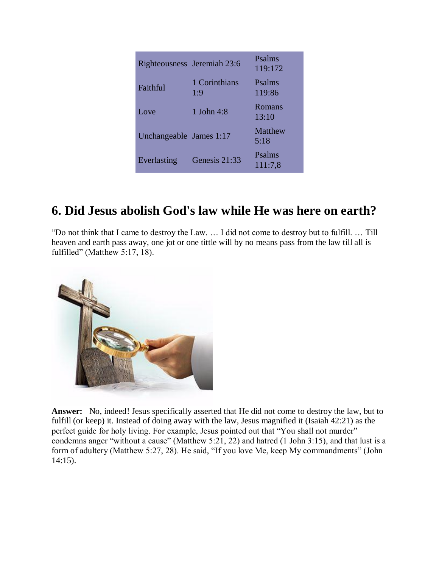| <b>Righteousness</b>    | Jeremiah 23:6        | Psalms<br>119:172      |
|-------------------------|----------------------|------------------------|
| Faithful                | 1 Corinthians<br>1:9 | Psalms<br>119:86       |
| Love                    | 1 John 4:8           | Romans<br>13:10        |
| Unchangeable James 1:17 |                      | <b>Matthew</b><br>5:18 |
| Everlasting             | Genesis 21:33        | Psalms<br>111:7,8      |

# **6. Did Jesus abolish God's law while He was here on earth?**

"Do not think that I came to destroy the Law. … I did not come to destroy but to fulfill. … Till heaven and earth pass away, one jot or one tittle will by no means pass from the law till all is fulfilled" (Matthew 5:17, 18).



**Answer:** No, indeed! Jesus specifically asserted that He did not come to destroy the law, but to fulfill (or keep) it. Instead of doing away with the law, Jesus magnified it (Isaiah 42:21) as the perfect guide for holy living. For example, Jesus pointed out that "You shall not murder" condemns anger "without a cause" (Matthew 5:21, 22) and hatred (1 John 3:15), and that lust is a form of adultery (Matthew 5:27, 28). He said, "If you love Me, keep My commandments" (John 14:15).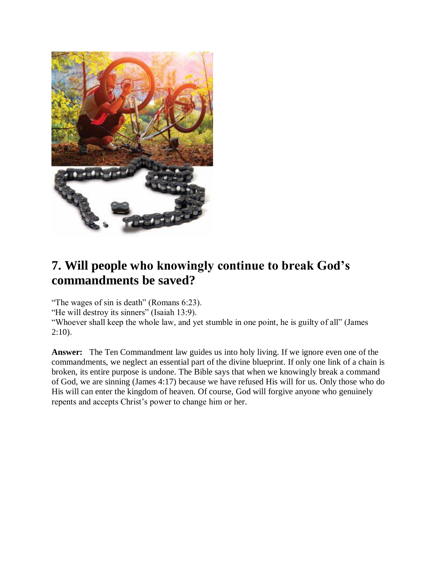

# **7. Will people who knowingly continue to break God's commandments be saved?**

"The wages of sin is death" (Romans 6:23).

"He will destroy its sinners" (Isaiah 13:9).

"Whoever shall keep the whole law, and yet stumble in one point, he is guilty of all" (James 2:10).

**Answer:** The Ten Commandment law guides us into holy living. If we ignore even one of the commandments, we neglect an essential part of the divine blueprint. If only one link of a chain is broken, its entire purpose is undone. The Bible says that when we knowingly break a command of God, we are sinning (James 4:17) because we have refused His will for us. Only those who do His will can enter the kingdom of heaven. Of course, God will forgive anyone who genuinely repents and accepts Christ's power to change him or her.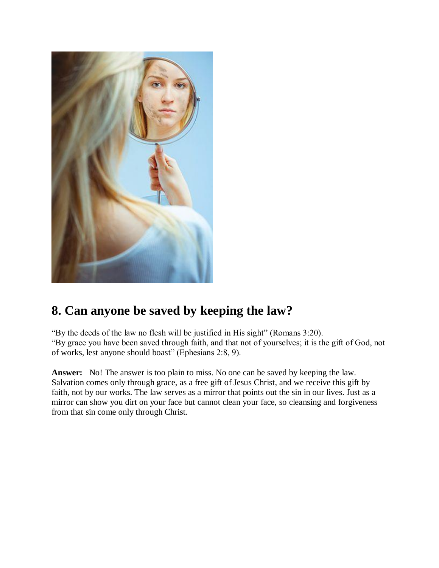

# **8. Can anyone be saved by keeping the law?**

"By the deeds of the law no flesh will be justified in His sight" (Romans 3:20). "By grace you have been saved through faith, and that not of yourselves; it is the gift of God, not of works, lest anyone should boast" (Ephesians 2:8, 9).

**Answer:** No! The answer is too plain to miss. No one can be saved by keeping the law. Salvation comes only through grace, as a free gift of Jesus Christ, and we receive this gift by faith, not by our works. The law serves as a mirror that points out the sin in our lives. Just as a mirror can show you dirt on your face but cannot clean your face, so cleansing and forgiveness from that sin come only through Christ.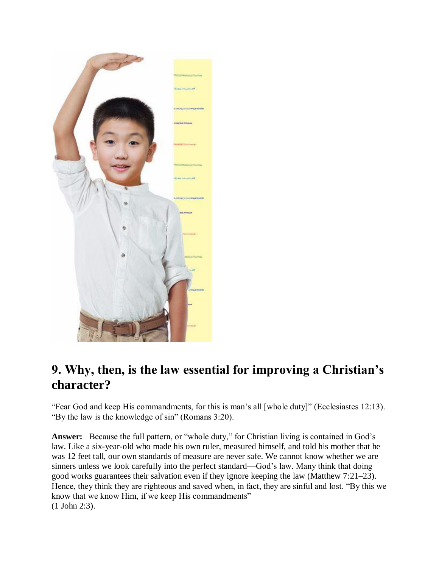

# **9. Why, then, is the law essential for improving a Christian's character?**

"Fear God and keep His commandments, for this is man's all [whole duty]" (Ecclesiastes 12:13). "By the law is the knowledge of sin" (Romans 3:20).

**Answer:** Because the full pattern, or "whole duty," for Christian living is contained in God's law. Like a six-year-old who made his own ruler, measured himself, and told his mother that he was 12 feet tall, our own standards of measure are never safe. We cannot know whether we are sinners unless we look carefully into the perfect standard—God's law. Many think that doing good works guarantees their salvation even if they ignore keeping the law (Matthew 7:21–23). Hence, they think they are righteous and saved when, in fact, they are sinful and lost. "By this we know that we know Him, if we keep His commandments" (1 John 2:3).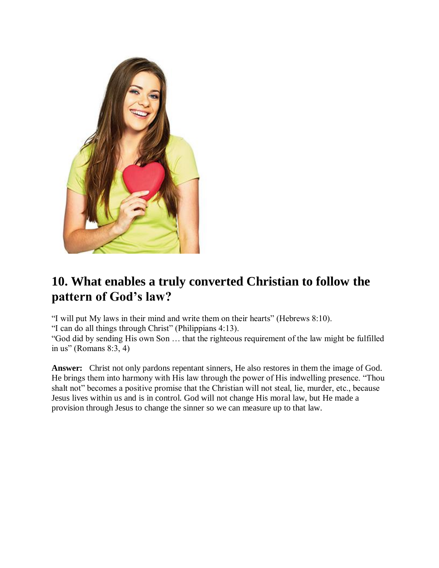

# **10. What enables a truly converted Christian to follow the pattern of God's law?**

"I will put My laws in their mind and write them on their hearts" (Hebrews 8:10).

"I can do all things through Christ" (Philippians 4:13).

"God did by sending His own Son … that the righteous requirement of the law might be fulfilled in us" (Romans  $8:3, 4$ )

**Answer:** Christ not only pardons repentant sinners, He also restores in them the image of God. He brings them into harmony with His law through the power of His indwelling presence. "Thou shalt not" becomes a positive promise that the Christian will not steal, lie, murder, etc., because Jesus lives within us and is in control. God will not change His moral law, but He made a provision through Jesus to change the sinner so we can measure up to that law.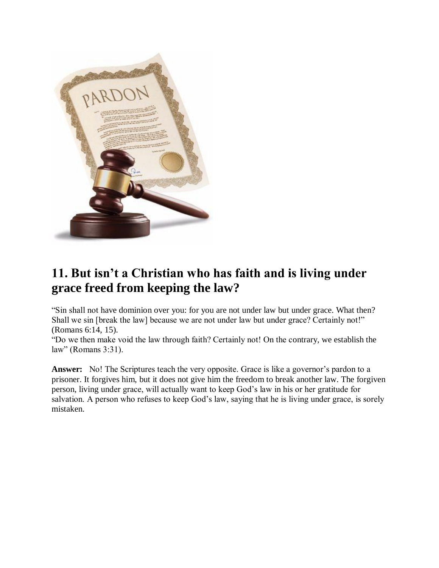

# **11. But isn't a Christian who has faith and is living under grace freed from keeping the law?**

"Sin shall not have dominion over you: for you are not under law but under grace. What then? Shall we sin [break the law] because we are not under law but under grace? Certainly not!" (Romans 6:14, 15).

"Do we then make void the law through faith? Certainly not! On the contrary, we establish the law" (Romans 3:31).

Answer: No! The Scriptures teach the very opposite. Grace is like a governor's pardon to a prisoner. It forgives him, but it does not give him the freedom to break another law. The forgiven person, living under grace, will actually want to keep God's law in his or her gratitude for salvation. A person who refuses to keep God's law, saying that he is living under grace, is sorely mistaken.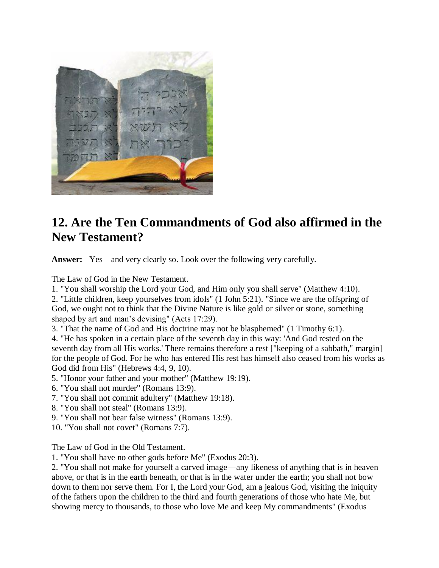

# **12. Are the Ten Commandments of God also affirmed in the New Testament?**

**Answer:** Yes—and very clearly so. Look over the following very carefully.

The Law of God in the New Testament.

1. "You shall worship the Lord your God, and Him only you shall serve" (Matthew 4:10).

2. "Little children, keep yourselves from idols" (1 John 5:21). "Since we are the offspring of God, we ought not to think that the Divine Nature is like gold or silver or stone, something shaped by art and man's devising" (Acts 17:29).

3. "That the name of God and His doctrine may not be blasphemed" (1 Timothy 6:1).

4. "He has spoken in a certain place of the seventh day in this way: 'And God rested on the seventh day from all His works.' There remains therefore a rest ["keeping of a sabbath," margin] for the people of God. For he who has entered His rest has himself also ceased from his works as God did from His" (Hebrews 4:4, 9, 10).

- 5. "Honor your father and your mother" (Matthew 19:19).
- 6. "You shall not murder" (Romans 13:9).
- 7. "You shall not commit adultery" (Matthew 19:18).
- 8. "You shall not steal" (Romans 13:9).
- 9. "You shall not bear false witness" (Romans 13:9).
- 10. "You shall not covet" (Romans 7:7).

The Law of God in the Old Testament.

1. "You shall have no other gods before Me" (Exodus 20:3).

2. "You shall not make for yourself a carved image—any likeness of anything that is in heaven above, or that is in the earth beneath, or that is in the water under the earth; you shall not bow down to them nor serve them. For I, the Lord your God, am a jealous God, visiting the iniquity of the fathers upon the children to the third and fourth generations of those who hate Me, but showing mercy to thousands, to those who love Me and keep My commandments" (Exodus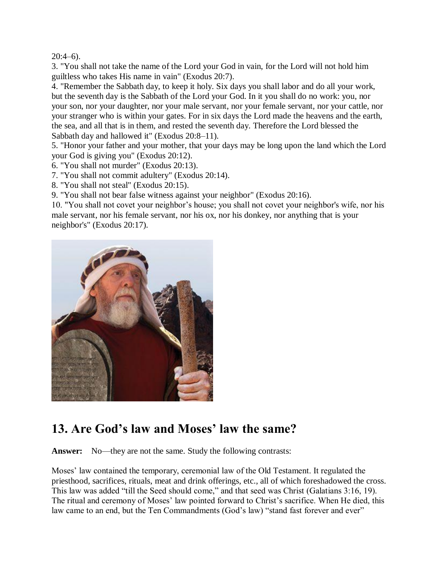$20:4-6$ ).

3. "You shall not take the name of the Lord your God in vain, for the Lord will not hold him guiltless who takes His name in vain" (Exodus 20:7).

4. "Remember the Sabbath day, to keep it holy. Six days you shall labor and do all your work, but the seventh day is the Sabbath of the Lord your God. In it you shall do no work: you, nor your son, nor your daughter, nor your male servant, nor your female servant, nor your cattle, nor your stranger who is within your gates. For in six days the Lord made the heavens and the earth, the sea, and all that is in them, and rested the seventh day. Therefore the Lord blessed the Sabbath day and hallowed it" (Exodus 20:8–11).

5. "Honor your father and your mother, that your days may be long upon the land which the Lord your God is giving you" (Exodus 20:12).

- 6. "You shall not murder" (Exodus 20:13).
- 7. "You shall not commit adultery" (Exodus 20:14).
- 8. "You shall not steal" (Exodus 20:15).

9. "You shall not bear false witness against your neighbor" (Exodus 20:16).

10. "You shall not covet your neighbor's house; you shall not covet your neighbor's wife, nor his male servant, nor his female servant, nor his ox, nor his donkey, nor anything that is your neighbor's" (Exodus 20:17).



# **13. Are God's law and Moses' law the same?**

**Answer:** No—they are not the same. Study the following contrasts:

Moses' law contained the temporary, ceremonial law of the Old Testament. It regulated the priesthood, sacrifices, rituals, meat and drink offerings, etc., all of which foreshadowed the cross. This law was added "till the Seed should come," and that seed was Christ (Galatians 3:16, 19). The ritual and ceremony of Moses' law pointed forward to Christ's sacrifice. When He died, this law came to an end, but the Ten Commandments (God's law) "stand fast forever and ever"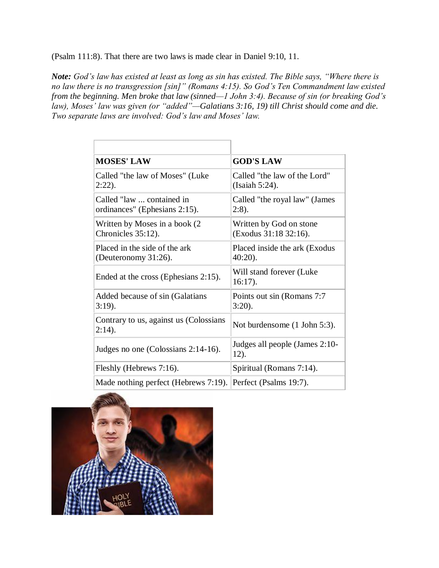(Psalm 111:8). That there are two laws is made clear in Daniel 9:10, 11.

*Note: God's law has existed at least as long as sin has existed. The Bible says, "Where there is no law there is no transgression [sin]" (Romans 4:15). So God's Ten Commandment law existed from the beginning. Men broke that law (sinned—1 John 3:4). Because of sin (or breaking God's law), Moses' law was given (or "added"—Galatians 3:16, 19) till Christ should come and die. Two separate laws are involved: God's law and Moses' law.*

| <b>MOSES' LAW</b>                                          | <b>GOD'S LAW</b>                                 |
|------------------------------------------------------------|--------------------------------------------------|
| Called "the law of Moses" (Luke<br>$2:22$ ).               | Called "the law of the Lord"<br>(Isaiah 5:24).   |
| Called "law  contained in<br>ordinances" (Ephesians 2:15). | Called "the royal law" (James<br>$2:8$ ).        |
| Written by Moses in a book (2)<br>Chronicles 35:12).       | Written by God on stone<br>(Exodus 31:18 32:16). |
| Placed in the side of the ark<br>(Deuteronomy 31:26).      | Placed inside the ark (Exodus)<br>$40:20$ ).     |
| Ended at the cross (Ephesians 2:15).                       | Will stand forever (Luke)<br>$16:17$ ).          |
| Added because of sin (Galatians<br>$3:19$ ).               | Points out sin (Romans 7:7)<br>$3:20$ ).         |
| Contrary to us, against us (Colossians<br>$2:14$ ).        | Not burdensome (1 John 5:3).                     |
| Judges no one (Colossians 2:14-16).                        | Judges all people (James 2:10-<br>12).           |
| Fleshly (Hebrews 7:16).                                    | Spiritual (Romans 7:14).                         |
| Made nothing perfect (Hebrews 7:19).                       | Perfect (Psalms 19:7).                           |

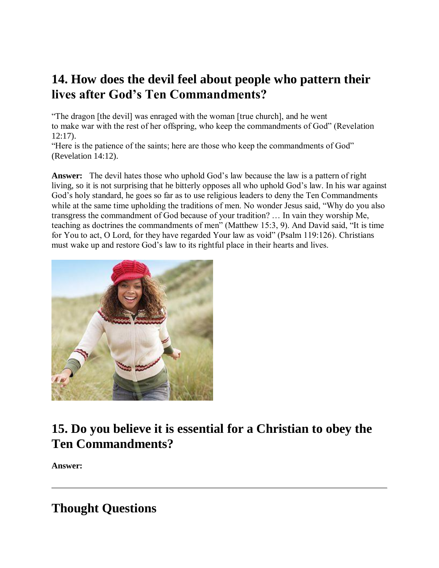# **14. How does the devil feel about people who pattern their lives after God's Ten Commandments?**

"The dragon [the devil] was enraged with the woman [true church], and he went to make war with the rest of her offspring, who keep the commandments of God" (Revelation 12:17).

"Here is the patience of the saints; here are those who keep the commandments of God" (Revelation 14:12).

**Answer:** The devil hates those who uphold God's law because the law is a pattern of right living, so it is not surprising that he bitterly opposes all who uphold God's law. In his war against God's holy standard, he goes so far as to use religious leaders to deny the Ten Commandments while at the same time upholding the traditions of men. No wonder Jesus said, "Why do you also transgress the commandment of God because of your tradition? … In vain they worship Me, teaching as doctrines the commandments of men" (Matthew 15:3, 9). And David said, "It is time for You to act, O Lord, for they have regarded Your law as void" (Psalm 119:126). Christians must wake up and restore God's law to its rightful place in their hearts and lives.



# **15. Do you believe it is essential for a Christian to obey the Ten Commandments?**

**Answer:**

# **Thought Questions**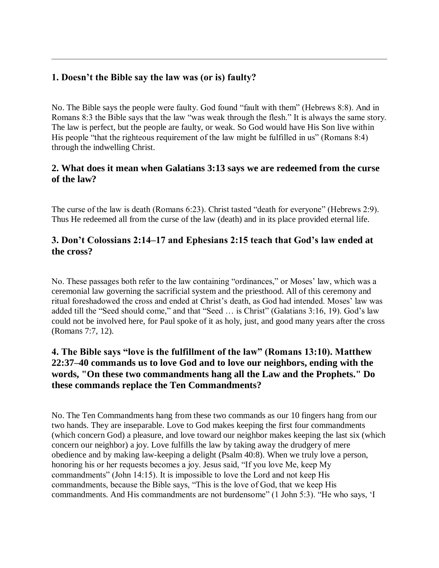### **1. Doesn't the Bible say the law was (or is) faulty?**

No. The Bible says the people were faulty. God found "fault with them" (Hebrews 8:8). And in Romans 8:3 the Bible says that the law "was weak through the flesh." It is always the same story. The law is perfect, but the people are faulty, or weak. So God would have His Son live within His people "that the righteous requirement of the law might be fulfilled in us" (Romans 8:4) through the indwelling Christ.

### **2. What does it mean when Galatians 3:13 says we are redeemed from the curse of the law?**

The curse of the law is death (Romans 6:23). Christ tasted "death for everyone" (Hebrews 2:9). Thus He redeemed all from the curse of the law (death) and in its place provided eternal life.

### **3. Don't Colossians 2:14–17 and Ephesians 2:15 teach that God's law ended at the cross?**

No. These passages both refer to the law containing "ordinances," or Moses' law, which was a ceremonial law governing the sacrificial system and the priesthood. All of this ceremony and ritual foreshadowed the cross and ended at Christ's death, as God had intended. Moses' law was added till the "Seed should come," and that "Seed … is Christ" (Galatians 3:16, 19). God's law could not be involved here, for Paul spoke of it as holy, just, and good many years after the cross (Romans 7:7, 12).

### **4. The Bible says "love is the fulfillment of the law" (Romans 13:10). Matthew 22:37–40 commands us to love God and to love our neighbors, ending with the words, "On these two commandments hang all the Law and the Prophets." Do these commands replace the Ten Commandments?**

No. The Ten Commandments hang from these two commands as our 10 fingers hang from our two hands. They are inseparable. Love to God makes keeping the first four commandments (which concern God) a pleasure, and love toward our neighbor makes keeping the last six (which concern our neighbor) a joy. Love fulfills the law by taking away the drudgery of mere obedience and by making law-keeping a delight (Psalm 40:8). When we truly love a person, honoring his or her requests becomes a joy. Jesus said, "If you love Me, keep My commandments" (John 14:15). It is impossible to love the Lord and not keep His commandments, because the Bible says, "This is the love of God, that we keep His commandments. And His commandments are not burdensome" (1 John 5:3). "He who says, 'I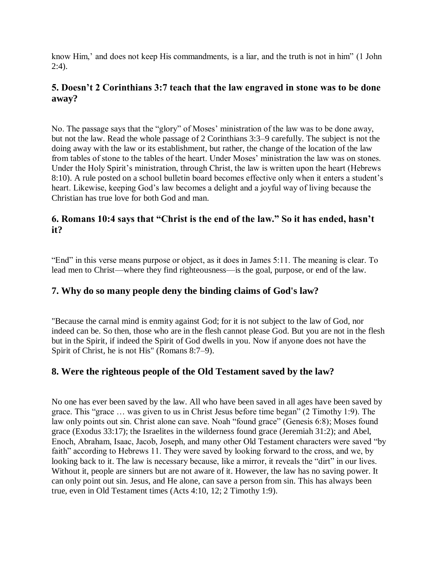know Him,' and does not keep His commandments, is a liar, and the truth is not in him" (1 John 2:4).

### **5. Doesn't 2 Corinthians 3:7 teach that the law engraved in stone was to be done away?**

No. The passage says that the "glory" of Moses' ministration of the law was to be done away, but not the law. Read the whole passage of 2 Corinthians 3:3–9 carefully. The subject is not the doing away with the law or its establishment, but rather, the change of the location of the law from tables of stone to the tables of the heart. Under Moses' ministration the law was on stones. Under the Holy Spirit's ministration, through Christ, the law is written upon the heart (Hebrews 8:10). A rule posted on a school bulletin board becomes effective only when it enters a student's heart. Likewise, keeping God's law becomes a delight and a joyful way of living because the Christian has true love for both God and man.

### **6. Romans 10:4 says that "Christ is the end of the law." So it has ended, hasn't it?**

"End" in this verse means purpose or object, as it does in James 5:11. The meaning is clear. To lead men to Christ—where they find righteousness—is the goal, purpose, or end of the law.

### **7. Why do so many people deny the binding claims of God's law?**

"Because the carnal mind is enmity against God; for it is not subject to the law of God, nor indeed can be. So then, those who are in the flesh cannot please God. But you are not in the flesh but in the Spirit, if indeed the Spirit of God dwells in you. Now if anyone does not have the Spirit of Christ, he is not His" (Romans 8:7–9).

### **8. Were the righteous people of the Old Testament saved by the law?**

No one has ever been saved by the law. All who have been saved in all ages have been saved by grace. This "grace … was given to us in Christ Jesus before time began" (2 Timothy 1:9). The law only points out sin. Christ alone can save. Noah "found grace" (Genesis 6:8); Moses found grace (Exodus 33:17); the Israelites in the wilderness found grace (Jeremiah 31:2); and Abel, Enoch, Abraham, Isaac, Jacob, Joseph, and many other Old Testament characters were saved "by faith" according to Hebrews 11. They were saved by looking forward to the cross, and we, by looking back to it. The law is necessary because, like a mirror, it reveals the "dirt" in our lives. Without it, people are sinners but are not aware of it. However, the law has no saving power. It can only point out sin. Jesus, and He alone, can save a person from sin. This has always been true, even in Old Testament times (Acts 4:10, 12; 2 Timothy 1:9).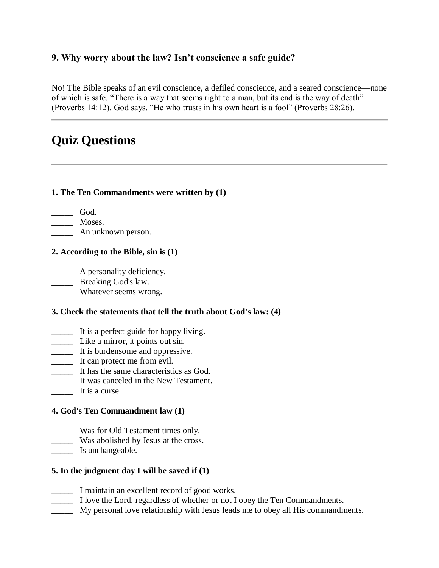### **9. Why worry about the law? Isn't conscience a safe guide?**

No! The Bible speaks of an evil conscience, a defiled conscience, and a seared conscience—none of which is safe. "There is a way that seems right to a man, but its end is the way of death" (Proverbs 14:12). God says, "He who trusts in his own heart is a fool" (Proverbs 28:26).

# **Quiz Questions**

#### **1. The Ten Commandments were written by (1)**

\_\_\_\_\_ God. \_\_\_\_\_ Moses. \_\_\_\_\_ An unknown person.

#### **2. According to the Bible, sin is (1)**

 $\qquad \qquad$  A personality deficiency.

\_\_\_\_\_\_ Breaking God's law.

\_\_\_\_\_ Whatever seems wrong.

### **3. Check the statements that tell the truth about God's law: (4)**

- \_\_\_\_\_ It is a perfect guide for happy living.
- \_\_\_\_\_ Like a mirror, it points out sin.
- \_\_\_\_\_ It is burdensome and oppressive.
- \_\_\_\_\_ It can protect me from evil.
- \_\_\_\_\_ It has the same characteristics as God.
- \_\_\_\_\_ It was canceled in the New Testament.
- \_\_\_\_\_ It is a curse.

### **4. God's Ten Commandment law (1)**

- \_\_\_\_\_ Was for Old Testament times only.
- **Was abolished by Jesus at the cross.**
- Is unchangeable.

### **5. In the judgment day I will be saved if (1)**

- \_\_\_\_\_ I maintain an excellent record of good works.
- \_\_\_\_\_ I love the Lord, regardless of whether or not I obey the Ten Commandments.
- \_\_\_\_\_ My personal love relationship with Jesus leads me to obey all His commandments.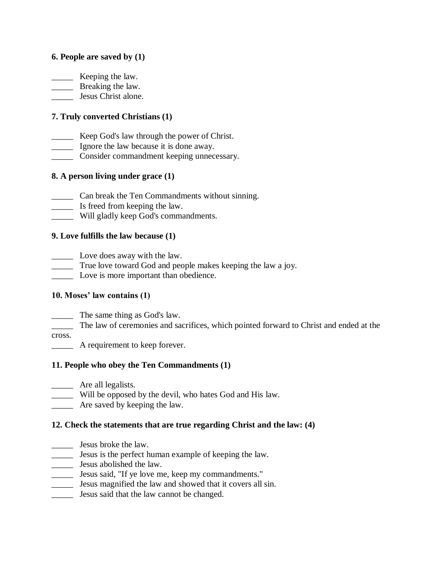#### **6. People are saved by (1)**

**EXECUTE:** Keeping the law.

**Example 13** Breaking the law.

\_\_\_\_\_ Jesus Christ alone.

### **7. Truly converted Christians (1)**

- \_\_\_\_\_ Keep God's law through the power of Christ.
- \_\_\_\_\_ Ignore the law because it is done away.
- \_\_\_\_\_ Consider commandment keeping unnecessary.

### **8. A person living under grace (1)**

- \_\_\_\_\_ Can break the Ten Commandments without sinning.
- \_\_\_\_\_ Is freed from keeping the law.
- \_\_\_\_\_ Will gladly keep God's commandments.

### **9. Love fulfills the law because (1)**

- \_\_\_\_\_ Love does away with the law.
- \_\_\_\_\_ True love toward God and people makes keeping the law a joy.
- \_\_\_\_\_ Love is more important than obedience.

### **10. Moses' law contains (1)**

\_\_\_\_\_ The same thing as God's law.

\_\_\_\_\_ The law of ceremonies and sacrifices, which pointed forward to Christ and ended at the cross.

\_\_\_\_\_ A requirement to keep forever.

### **11. People who obey the Ten Commandments (1)**

- **\_\_\_\_\_** Are all legalists.
- \_\_\_\_\_ Will be opposed by the devil, who hates God and His law.
- **EXECUTE:** Are saved by keeping the law.

#### **12. Check the statements that are true regarding Christ and the law: (4)**

- \_\_\_\_\_ Jesus broke the law.
- \_\_\_\_\_ Jesus is the perfect human example of keeping the law.
- \_\_\_\_\_ Jesus abolished the law.
- \_\_\_\_\_ Jesus said, "If ye love me, keep my commandments."
- \_\_\_\_\_ Jesus magnified the law and showed that it covers all sin.
- \_\_\_\_\_ Jesus said that the law cannot be changed.